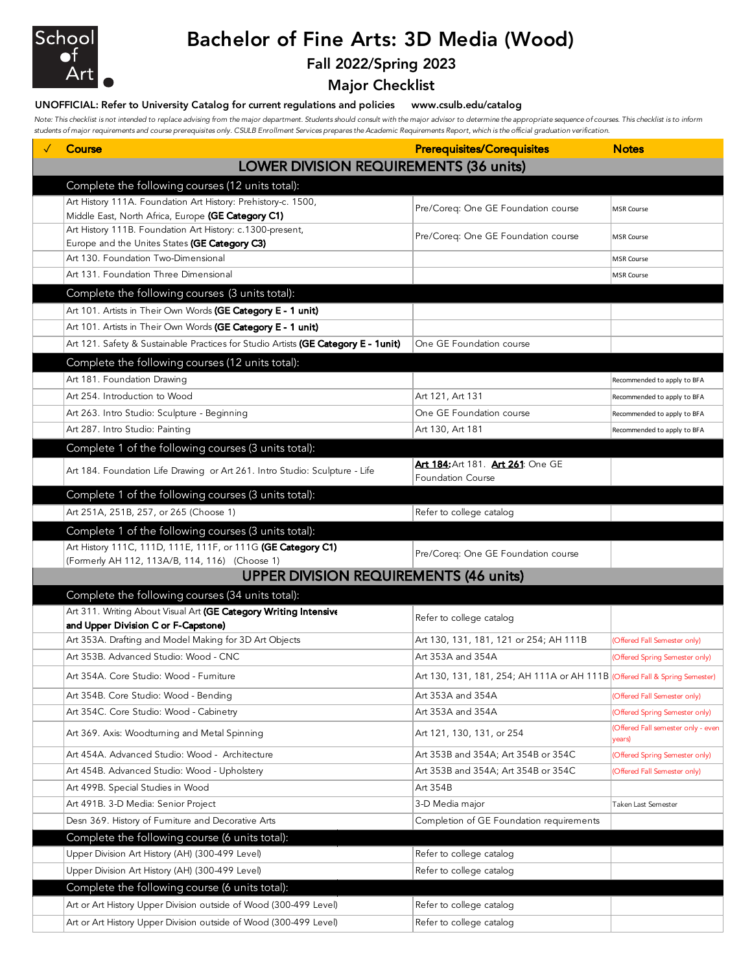

# Bachelor of Fine Arts: 3D Media (Wood)

### Fall 2022/Spring 2023

Major Checklist

#### UNOFFICIAL: Refer to University Catalog for current regulations and policies www.csulb.edu/catalog

*Note: This checklist is not intended to replace advising from the major department. Students should consult with the major advisor to determine the appropriate sequence of courses. This checklist is to inform students of major requirements and course prerequisites only. CSULB Enrollment Services prepares the Academic Requirements Report, which is the official graduation verification.*

| Course                                                                                                         | <b>Prerequisites/Corequisites</b>                                          | <b>Notes</b>                                 |
|----------------------------------------------------------------------------------------------------------------|----------------------------------------------------------------------------|----------------------------------------------|
| <b>LOWER DIVISION REQUIREMENTS (36 units)</b>                                                                  |                                                                            |                                              |
| Complete the following courses (12 units total):                                                               |                                                                            |                                              |
| Art History 111A. Foundation Art History: Prehistory-c. 1500,                                                  | Pre/Coreq: One GE Foundation course                                        | <b>MSR Course</b>                            |
| Middle East, North Africa, Europe (GE Category C1)                                                             |                                                                            |                                              |
| Art History 111B. Foundation Art History: c.1300-present,<br>Europe and the Unites States (GE Category C3)     | Pre/Coreq: One GE Foundation course                                        | <b>MSR Course</b>                            |
| Art 130. Foundation Two-Dimensional                                                                            |                                                                            | <b>MSR Course</b>                            |
| Art 131. Foundation Three Dimensional                                                                          |                                                                            | <b>MSR Course</b>                            |
| Complete the following courses (3 units total):                                                                |                                                                            |                                              |
| Art 101. Artists in Their Own Words (GE Category E - 1 unit)                                                   |                                                                            |                                              |
| Art 101. Artists in Their Own Words (GE Category E - 1 unit)                                                   |                                                                            |                                              |
| Art 121. Safety & Sustainable Practices for Studio Artists (GE Category E - 1unit)                             | One GE Foundation course                                                   |                                              |
| Complete the following courses (12 units total):                                                               |                                                                            |                                              |
| Art 181. Foundation Drawing                                                                                    |                                                                            | Recommended to apply to BFA                  |
| Art 254. Introduction to Wood                                                                                  | Art 121, Art 131                                                           | Recommended to apply to BFA                  |
| Art 263. Intro Studio: Sculpture - Beginning                                                                   | One GE Foundation course                                                   | Recommended to apply to BFA                  |
| Art 287. Intro Studio: Painting                                                                                | Art 130, Art 181                                                           | Recommended to apply to BFA                  |
| Complete 1 of the following courses (3 units total):                                                           |                                                                            |                                              |
| Art 184. Foundation Life Drawing or Art 261. Intro Studio: Sculpture - Life                                    | Art 184: Art 181. Art 261: One GE                                          |                                              |
|                                                                                                                | <b>Foundation Course</b>                                                   |                                              |
| Complete 1 of the following courses (3 units total):                                                           |                                                                            |                                              |
| Art 251A, 251B, 257, or 265 (Choose 1)                                                                         | Refer to college catalog                                                   |                                              |
| Complete 1 of the following courses (3 units total):                                                           |                                                                            |                                              |
| Art History 111C, 111D, 111E, 111F, or 111G (GE Category C1)<br>(Formerly AH 112, 113A/B, 114, 116) (Choose 1) | Pre/Coreq: One GE Foundation course                                        |                                              |
| <b>UPPER DIVISION REQUIREMENTS (46 units)</b>                                                                  |                                                                            |                                              |
| Complete the following courses (34 units total):                                                               |                                                                            |                                              |
| Art 311. Writing About Visual Art (GE Category Writing Intensive<br>and Upper Division C or F-Capstone)        | Refer to college catalog                                                   |                                              |
| Art 353A. Drafting and Model Making for 3D Art Objects                                                         | Art 130, 131, 181, 121 or 254; AH 111B                                     | (Offered Fall Semester only)                 |
| Art 353B. Advanced Studio: Wood - CNC                                                                          | Art 353A and 354A                                                          | (Offered Spring Semester only)               |
| Art 354A. Core Studio: Wood - Furniture                                                                        | Art 130, 131, 181, 254; AH 111A or AH 111B Offered Fall & Spring Semester) |                                              |
| Art 354B. Core Studio: Wood - Bending                                                                          | Art 353A and 354A                                                          | (Offered Fall Semester only)                 |
| Art 354C. Core Studio: Wood - Cabinetry                                                                        | Art 353A and 354A                                                          | (Offered Spring Semester only)               |
| Art 369. Axis: Woodturning and Metal Spinning                                                                  | Art 121, 130, 131, or 254                                                  | (Offered Fall semester only - even<br>years) |
| Art 454A. Advanced Studio: Wood - Architecture                                                                 | Art 353B and 354A; Art 354B or 354C                                        | (Offered Spring Semester only)               |
| Art 454B. Advanced Studio: Wood - Upholstery                                                                   | Art 353B and 354A; Art 354B or 354C                                        | (Offered Fall Semester only)                 |
| Art 499B. Special Studies in Wood                                                                              | Art 354B                                                                   |                                              |
| Art 491B. 3-D Media: Senior Project                                                                            | 3-D Media major                                                            | Taken Last Semester                          |
| Desn 369. History of Furniture and Decorative Arts                                                             | Completion of GE Foundation requirements                                   |                                              |
| Complete the following course (6 units total):                                                                 |                                                                            |                                              |
| Upper Division Art History (AH) (300-499 Level)                                                                | Refer to college catalog                                                   |                                              |
| Upper Division Art History (AH) (300-499 Level)                                                                | Refer to college catalog                                                   |                                              |
| Complete the following course (6 units total):                                                                 |                                                                            |                                              |
| Art or Art History Upper Division outside of Wood (300-499 Level)                                              | Refer to college catalog                                                   |                                              |
| Art or Art History Upper Division outside of Wood (300-499 Level)                                              | Refer to college catalog                                                   |                                              |
|                                                                                                                |                                                                            |                                              |